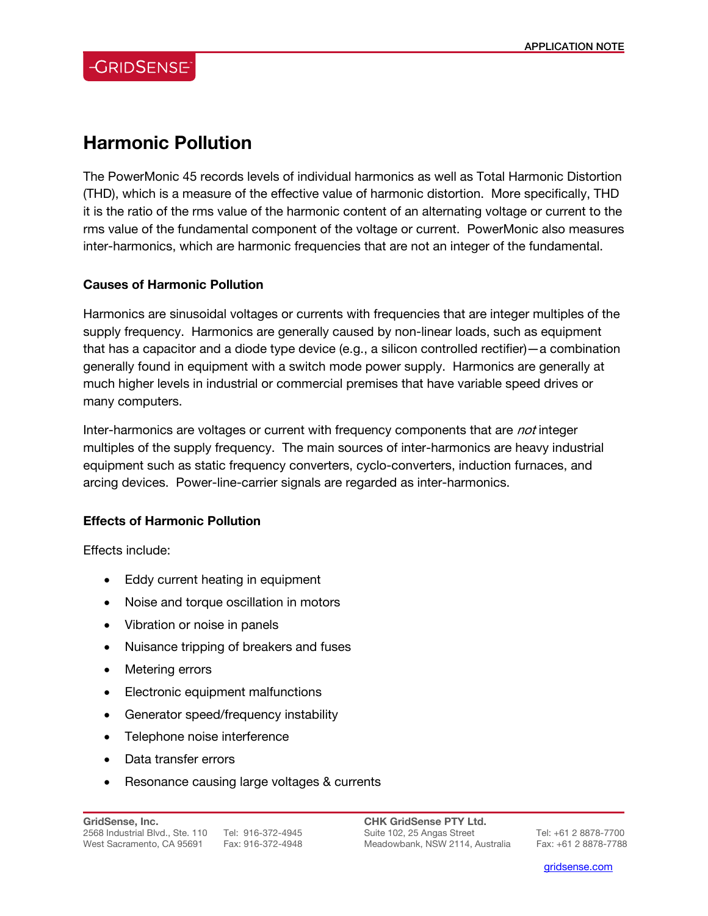## **Harmonic Pollution**

The PowerMonic 45 records levels of individual harmonics as well as Total Harmonic Distortion (THD), which is a measure of the effective value of harmonic distortion. More specifically, THD it is the ratio of the rms value of the harmonic content of an alternating voltage or current to the rms value of the fundamental component of the voltage or current. PowerMonic also measures inter-harmonics, which are harmonic frequencies that are not an integer of the fundamental.

#### **Causes of Harmonic Pollution**

Harmonics are sinusoidal voltages or currents with frequencies that are integer multiples of the supply frequency. Harmonics are generally caused by non-linear loads, such as equipment that has a capacitor and a diode type device (e.g., a silicon controlled rectifier)—a combination generally found in equipment with a switch mode power supply. Harmonics are generally at much higher levels in industrial or commercial premises that have variable speed drives or many computers.

Inter-harmonics are voltages or current with frequency components that are *not* integer multiples of the supply frequency. The main sources of inter-harmonics are heavy industrial equipment such as static frequency converters, cyclo-converters, induction furnaces, and arcing devices. Power-line-carrier signals are regarded as inter-harmonics.

#### **Effects of Harmonic Pollution**

Effects include:

- Eddy current heating in equipment
- Noise and torque oscillation in motors
- Vibration or noise in panels
- Nuisance tripping of breakers and fuses
- Metering errors
- Electronic equipment malfunctions
- Generator speed/frequency instability
- Telephone noise interference
- Data transfer errors
- Resonance causing large voltages & currents

**CHK GridSense PTY Ltd.**  Suite 102, 25 Angas Street Tel: +61 2 8878-7700 Meadowbank, NSW 2114, Australia Fax: +61 2 8878-7788

l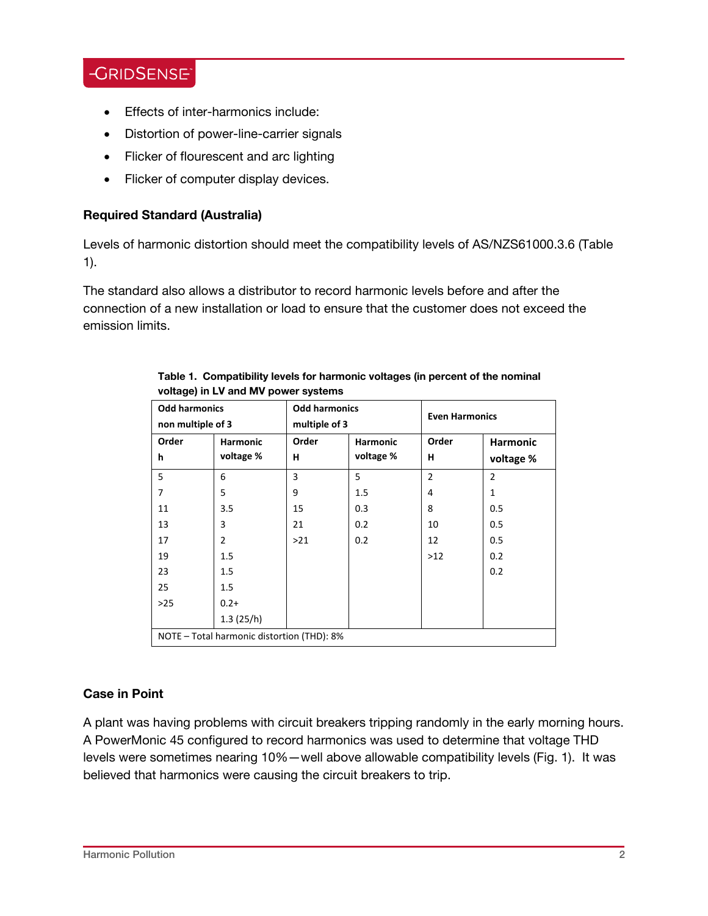## **-GRIDSENSE**

- Effects of inter-harmonics include:
- Distortion of power-line-carrier signals
- Flicker of flourescent and arc lighting
- Flicker of computer display devices.

#### **Required Standard (Australia)**

Levels of harmonic distortion should meet the compatibility levels of AS/NZS61000.3.6 (Table 1).

The standard also allows a distributor to record harmonic levels before and after the connection of a new installation or load to ensure that the customer does not exceed the emission limits.

| <b>Odd harmonics</b><br>non multiple of 3  |                 | <b>Odd harmonics</b><br>multiple of 3 |           | <b>Even Harmonics</b> |                 |
|--------------------------------------------|-----------------|---------------------------------------|-----------|-----------------------|-----------------|
| Order                                      | <b>Harmonic</b> | Order                                 | Harmonic  | Order                 | <b>Harmonic</b> |
| h                                          | voltage %       | н                                     | voltage % | н                     | voltage %       |
| 5                                          | 6               | 3                                     | 5         | $\overline{2}$        | $\overline{2}$  |
| 7                                          | 5               | 9                                     | 1.5       | 4                     | 1               |
| 11                                         | 3.5             | 15                                    | 0.3       | 8                     | 0.5             |
| 13                                         | 3               | 21                                    | 0.2       | 10                    | 0.5             |
| 17                                         | 2               | >21                                   | 0.2       | 12                    | 0.5             |
| 19                                         | $1.5\,$         |                                       |           | >12                   | 0.2             |
| 23                                         | 1.5             |                                       |           |                       | 0.2             |
| 25                                         | $1.5\,$         |                                       |           |                       |                 |
| $>25$                                      | $0.2 +$         |                                       |           |                       |                 |
|                                            | 1.3(25/h)       |                                       |           |                       |                 |
| NOTE - Total harmonic distortion (THD): 8% |                 |                                       |           |                       |                 |

#### **Table 1. Compatibility levels for harmonic voltages (in percent of the nominal voltage) in LV and MV power systems**

### **Case in Point**

A plant was having problems with circuit breakers tripping randomly in the early morning hours. A PowerMonic 45 configured to record harmonics was used to determine that voltage THD levels were sometimes nearing 10%—well above allowable compatibility levels (Fig. 1). It was believed that harmonics were causing the circuit breakers to trip.

L